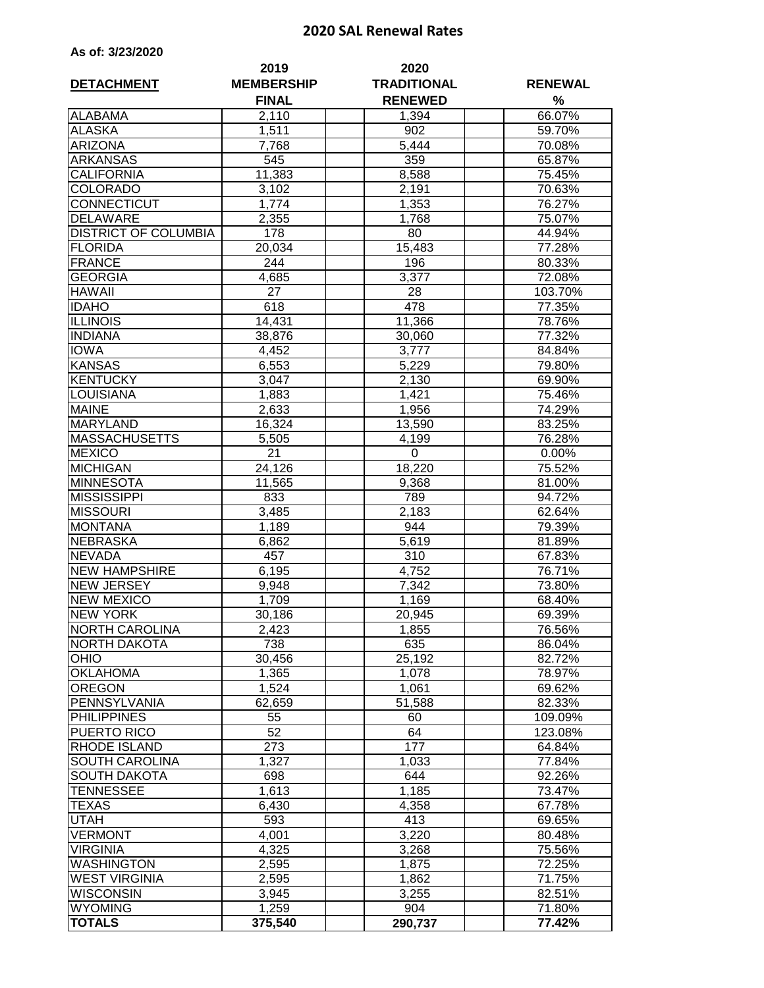## **2020 SAL Renewal Rates**

| As of: 3/23/2020 |  |  |  |
|------------------|--|--|--|
|------------------|--|--|--|

|                             | 2019              | 2020               |                |  |
|-----------------------------|-------------------|--------------------|----------------|--|
| <b>DETACHMENT</b>           | <b>MEMBERSHIP</b> | <b>TRADITIONAL</b> | <b>RENEWAL</b> |  |
|                             | <b>FINAL</b>      | <b>RENEWED</b>     | %              |  |
| <b>ALABAMA</b>              | 2,110             | 1,394              | 66.07%         |  |
| <b>ALASKA</b>               | 1,511             | 902                | 59.70%         |  |
| <b>ARIZONA</b>              | 7,768             | 5,444              | 70.08%         |  |
| <b>ARKANSAS</b>             | 545               | 359                | 65.87%         |  |
| <b>CALIFORNIA</b>           | 11,383            | 8,588              | 75.45%         |  |
| <b>COLORADO</b>             | 3,102             | 2,191              | 70.63%         |  |
| <b>CONNECTICUT</b>          | 1,774             | 1,353              | 76.27%         |  |
| <b>DELAWARE</b>             | 2,355             | 1,768              | 75.07%         |  |
| <b>DISTRICT OF COLUMBIA</b> | 178               | 80                 | 44.94%         |  |
| <b>FLORIDA</b>              | 20,034            | 15,483             | 77.28%         |  |
| <b>FRANCE</b>               | 244               | 196                | 80.33%         |  |
| <b>GEORGIA</b>              | 4,685             | 3,377              | 72.08%         |  |
| <b>HAWAII</b>               | 27                | 28                 | 103.70%        |  |
| <b>IDAHO</b>                | 618               | 478                | 77.35%         |  |
| <b>ILLINOIS</b>             | 14,431            | 11,366             | 78.76%         |  |
| <b>INDIANA</b>              | 38,876            | 30,060             | 77.32%         |  |
| <b>IOWA</b>                 | 4,452             | 3,777              | 84.84%         |  |
| <b>KANSAS</b>               | 6,553             | 5,229              | 79.80%         |  |
| <b>KENTUCKY</b>             | 3,047             | 2,130              | 69.90%         |  |
| <b>LOUISIANA</b>            | 1,883             | 1,421              | 75.46%         |  |
| <b>MAINE</b>                | 2,633             | 1,956              | 74.29%         |  |
| <b>MARYLAND</b>             | 16,324            | 13,590             | 83.25%         |  |
| <b>MASSACHUSETTS</b>        | 5,505             | 4,199              | 76.28%         |  |
| <b>MEXICO</b>               | 21                | $\pmb{0}$          | 0.00%          |  |
| <b>MICHIGAN</b>             | 24,126            | 18,220             | 75.52%         |  |
| <b>MINNESOTA</b>            | 11,565            | 9,368              | 81.00%         |  |
| <b>MISSISSIPPI</b>          | 833               | 789                | 94.72%         |  |
| <b>MISSOURI</b>             | 3,485             | 2,183              | 62.64%         |  |
| <b>MONTANA</b>              | 1,189             | 944                | 79.39%         |  |
| <b>NEBRASKA</b>             | 6,862             | 5,619              | 81.89%         |  |
| <b>NEVADA</b>               | 457               | 310                | 67.83%         |  |
| <b>NEW HAMPSHIRE</b>        | 6,195             | 4,752              | 76.71%         |  |
| <b>NEW JERSEY</b>           | 9,948             | 7,342              | 73.80%         |  |
| <b>NEW MEXICO</b>           | 1,709             | 1,169              | 68.40%         |  |
| <b>NEW YORK</b>             | 30,186            | 20,945             | 69.39%         |  |
| <b>NORTH CAROLINA</b>       | 2,423             | 1,855              | 76.56%         |  |
| <b>NORTH DAKOTA</b>         | 738               | 635                | 86.04%         |  |
| <b>OHIO</b>                 | 30,456            | 25,192             | 82.72%         |  |
| <b>OKLAHOMA</b>             | 1,365             | 1,078              | 78.97%         |  |
| <b>OREGON</b>               | 1,524             | 1,061              | 69.62%         |  |
| PENNSYLVANIA                | 62,659            | 51,588             | 82.33%         |  |
| <b>PHILIPPINES</b>          | 55                | 60                 | 109.09%        |  |
| PUERTO RICO                 | 52                | 64                 | 123.08%        |  |
| <b>RHODE ISLAND</b>         | 273               | 177                | 64.84%         |  |
| SOUTH CAROLINA              | 1,327             | 1,033              | 77.84%         |  |
| <b>SOUTH DAKOTA</b>         | 698               | 644                | 92.26%         |  |
| <b>TENNESSEE</b>            | 1,613             | 1,185              | 73.47%         |  |
| <b>TEXAS</b>                | 6,430             | 4,358              | 67.78%         |  |
| <b>UTAH</b>                 | 593               | 413                | 69.65%         |  |
| <b>VERMONT</b>              | 4,001             | 3,220              | 80.48%         |  |
| <b>VIRGINIA</b>             | 4,325             | 3,268              | 75.56%         |  |
| <b>WASHINGTON</b>           | 2,595             | 1,875              | 72.25%         |  |
| <b>WEST VIRGINIA</b>        | 2,595             | 1,862              | 71.75%         |  |
| <b>WISCONSIN</b>            | 3,945             | 3,255              | 82.51%         |  |
| <b>WYOMING</b>              | 1,259             | 904                | 71.80%         |  |
| <b>TOTALS</b>               | 375,540           | 290,737            | 77.42%         |  |